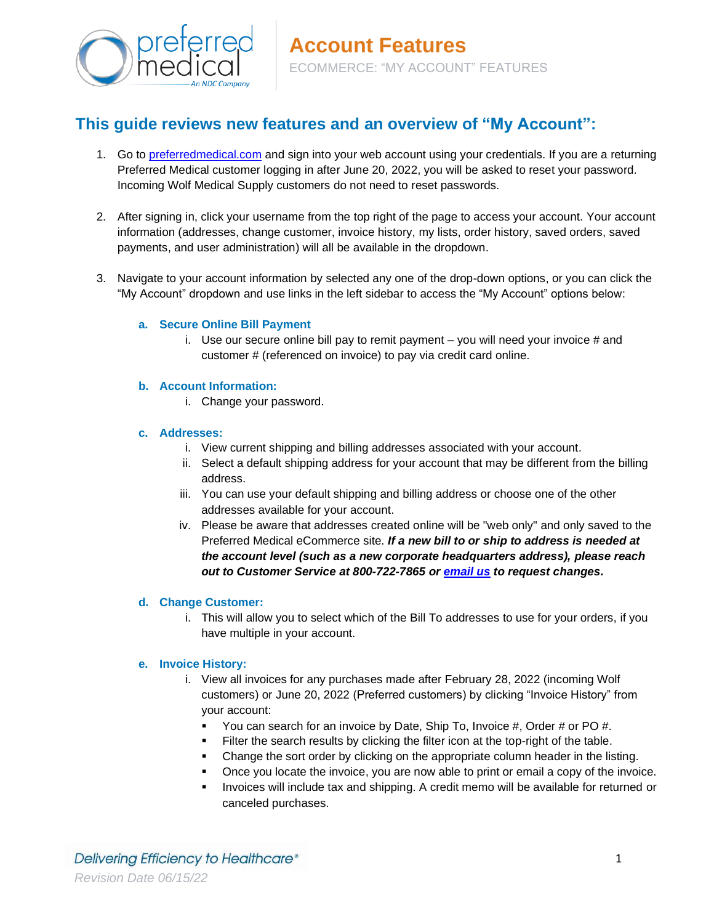

# **This guide reviews new features and an overview of "My Account":**

- 1. Go to [preferredmedical.com](https://www.preferredmedical.com/) and sign into your web account using your credentials. If you are a returning Preferred Medical customer logging in after June 20, 2022, you will be asked to reset your password. Incoming Wolf Medical Supply customers do not need to reset passwords.
- 2. After signing in, click your username from the top right of the page to access your account. Your account information (addresses, change customer, invoice history, my lists, order history, saved orders, saved payments, and user administration) will all be available in the dropdown.
- 3. Navigate to your account information by selected any one of the drop-down options, or you can click the "My Account" dropdown and use links in the left sidebar to access the "My Account" options below:

# **a. Secure Online Bill Payment**

i. Use our secure online bill pay to remit payment  $-$  you will need your invoice  $#$  and customer # (referenced on invoice) to pay via credit card online.

# **b. Account Information:**

i. Change your password.

#### **c. Addresses:**

- i. View current shipping and billing addresses associated with your account.
- ii. Select a default shipping address for your account that may be different from the billing address.
- iii. You can use your default shipping and billing address or choose one of the other addresses available for your account.
- iv. Please be aware that addresses created online will be "web only" and only saved to the Preferred Medical eCommerce site. *If a new bill to or ship to address is needed at the account level (such as a new corporate headquarters address), please reach out to Customer Service at 800-722-7865 or [email us](mailto:customerservice@preferredmedical.com?subject=RE%3A%20Billing%20and/or%20Shipping%20Address%20Change%20Request) to request changes.*

#### **d. Change Customer:**

i. This will allow you to select which of the Bill To addresses to use for your orders, if you have multiple in your account.

# **e. Invoice History:**

- i. View all invoices for any purchases made after February 28, 2022 (incoming Wolf customers) or June 20, 2022 (Preferred customers) by clicking "Invoice History" from your account:
	- You can search for an invoice by Date, Ship To, Invoice #, Order # or PO #.
	- **Example 1** Filter the search results by clicking the filter icon at the top-right of the table.
	- **Change the sort order by clicking on the appropriate column header in the listing.**
	- Once you locate the invoice, you are now able to print or email a copy of the invoice.
	- **.** Invoices will include tax and shipping. A credit memo will be available for returned or canceled purchases.

Delivering Efficiency to Healthcare® *Revision Date 06/15/22*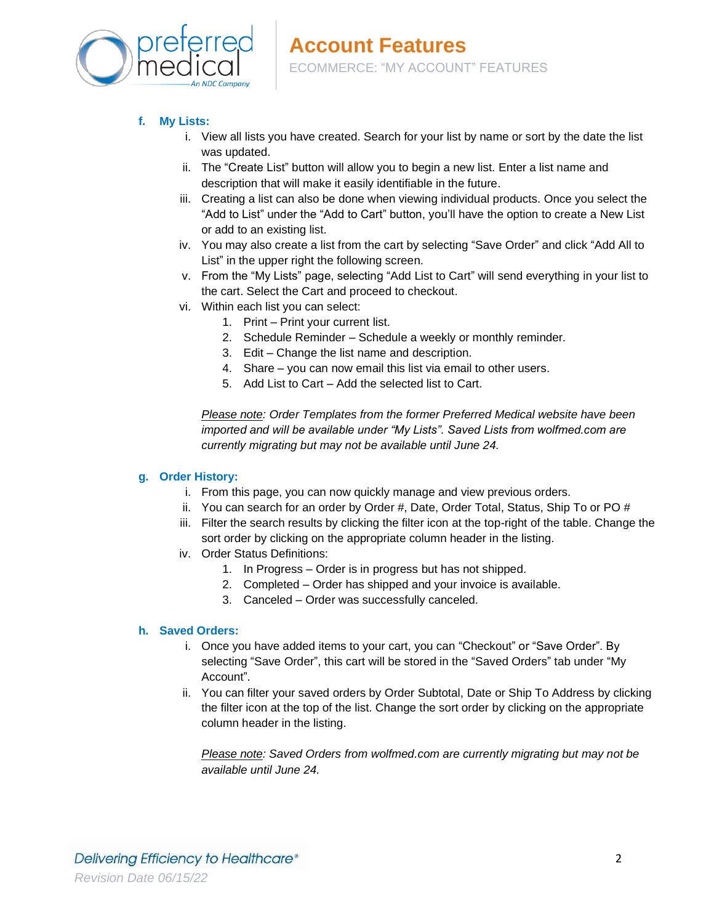

# **f. My Lists:**

- i. View all lists you have created. Search for your list by name or sort by the date the list was updated.
- ii. The "Create List" button will allow you to begin a new list. Enter a list name and description that will make it easily identifiable in the future.
- iii. Creating a list can also be done when viewing individual products. Once you select the "Add to List" under the "Add to Cart" button, you'll have the option to create a New List or add to an existing list.
- iv. You may also create a list from the cart by selecting "Save Order" and click "Add All to List" in the upper right the following screen.
- v. From the "My Lists" page, selecting "Add List to Cart" will send everything in your list to the cart. Select the Cart and proceed to checkout.
- vi. Within each list you can select:
	- 1. Print Print your current list.
	- 2. Schedule Reminder Schedule a weekly or monthly reminder.
	- 3. Edit Change the list name and description.
	- 4. Share you can now email this list via email to other users.
	- 5. Add List to Cart Add the selected list to Cart.

*Please note: Order Templates from the former Preferred Medical website have been imported and will be available under "My Lists". Saved Lists from wolfmed.com are currently migrating but may not be available until June 24.*

# **g. Order History:**

- i. From this page, you can now quickly manage and view previous orders.
- ii. You can search for an order by Order  $#$ , Date, Order Total, Status, Ship To or PO  $#$
- iii. Filter the search results by clicking the filter icon at the top-right of the table. Change the sort order by clicking on the appropriate column header in the listing.
- iv. Order Status Definitions:
	- 1. In Progress Order is in progress but has not shipped.
	- 2. Completed Order has shipped and your invoice is available.
	- 3. Canceled Order was successfully canceled.

# **h. Saved Orders:**

- i. Once you have added items to your cart, you can "Checkout" or "Save Order". By selecting "Save Order", this cart will be stored in the "Saved Orders" tab under "My Account".
- ii. You can filter your saved orders by Order Subtotal, Date or Ship To Address by clicking the filter icon at the top of the list. Change the sort order by clicking on the appropriate column header in the listing.

*Please note: Saved Orders from wolfmed.com are currently migrating but may not be available until June 24.*